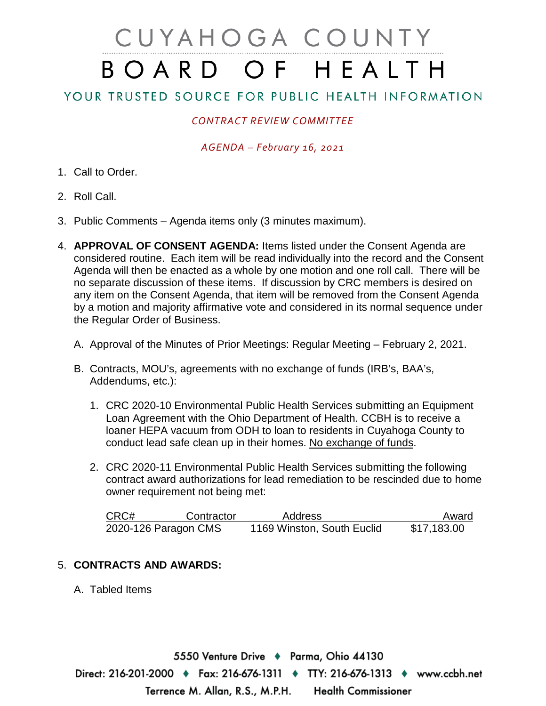# CUYAHOGA COUNTY BOARD OF HEALTH

# YOUR TRUSTED SOURCE FOR PUBLIC HEALTH INFORMATION

## *CONTRACT REVIEW COMMITTEE*

#### *AGENDA – February 16, 2021*

- 1. Call to Order.
- 2. Roll Call.
- 3. Public Comments Agenda items only (3 minutes maximum).
- 4. **APPROVAL OF CONSENT AGENDA:** Items listed under the Consent Agenda are considered routine. Each item will be read individually into the record and the Consent Agenda will then be enacted as a whole by one motion and one roll call. There will be no separate discussion of these items. If discussion by CRC members is desired on any item on the Consent Agenda, that item will be removed from the Consent Agenda by a motion and majority affirmative vote and considered in its normal sequence under the Regular Order of Business.
	- A. Approval of the Minutes of Prior Meetings: Regular Meeting February 2, 2021.
	- B. Contracts, MOU's, agreements with no exchange of funds (IRB's, BAA's, Addendums, etc.):
		- 1. CRC 2020-10 Environmental Public Health Services submitting an Equipment Loan Agreement with the Ohio Department of Health. CCBH is to receive a loaner HEPA vacuum from ODH to loan to residents in Cuyahoga County to conduct lead safe clean up in their homes. No exchange of funds.
		- 2. CRC 2020-11 Environmental Public Health Services submitting the following contract award authorizations for lead remediation to be rescinded due to home owner requirement not being met:

| CRC# | Contractor           | Address                    | Award       |
|------|----------------------|----------------------------|-------------|
|      | 2020-126 Paragon CMS | 1169 Winston, South Euclid | \$17,183.00 |

### 5. **CONTRACTS AND AWARDS:**

A. Tabled Items

5550 Venture Drive ♦ Parma, Ohio 44130 Direct: 216-201-2000 ♦ Fax: 216-676-1311 ♦ TTY: 216-676-1313 ♦ www.ccbh.net Terrence M. Allan, R.S., M.P.H. **Health Commissioner**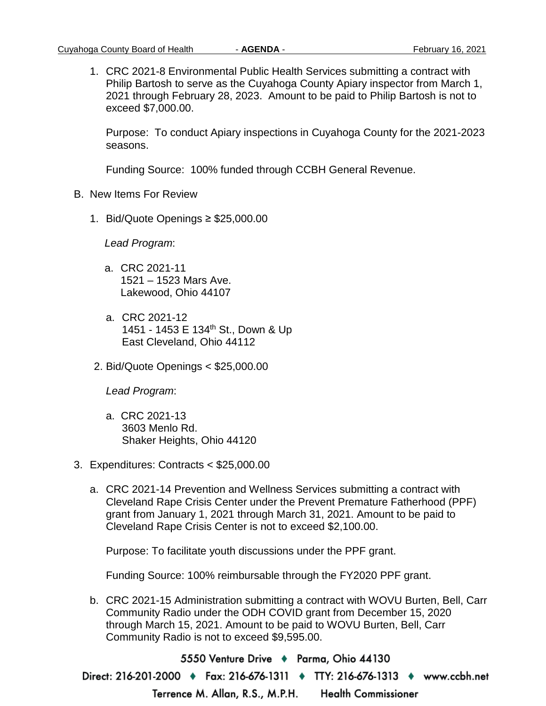1. CRC 2021-8 Environmental Public Health Services submitting a contract with Philip Bartosh to serve as the Cuyahoga County Apiary inspector from March 1, 2021 through February 28, 2023. Amount to be paid to Philip Bartosh is not to exceed \$7,000.00.

Purpose: To conduct Apiary inspections in Cuyahoga County for the 2021-2023 seasons.

Funding Source: 100% funded through CCBH General Revenue.

- B. New Items For Review
	- 1. Bid/Quote Openings ≥ \$25,000.00

*Lead Program*:

- a. CRC 2021-11 1521 – 1523 Mars Ave. Lakewood, Ohio 44107
- a. CRC 2021-12 1451 - 1453 E 134th St., Down & Up East Cleveland, Ohio 44112
- 2. Bid/Quote Openings < \$25,000.00

*Lead Program*:

- a. CRC 2021-13 3603 Menlo Rd. Shaker Heights, Ohio 44120
- 3. Expenditures: Contracts < \$25,000.00
	- a. CRC 2021-14 Prevention and Wellness Services submitting a contract with Cleveland Rape Crisis Center under the Prevent Premature Fatherhood (PPF) grant from January 1, 2021 through March 31, 2021. Amount to be paid to Cleveland Rape Crisis Center is not to exceed \$2,100.00.

Purpose: To facilitate youth discussions under the PPF grant.

Funding Source: 100% reimbursable through the FY2020 PPF grant.

b. CRC 2021-15 Administration submitting a contract with WOVU Burten, Bell, Carr Community Radio under the ODH COVID grant from December 15, 2020 through March 15, 2021. Amount to be paid to WOVU Burten, Bell, Carr Community Radio is not to exceed \$9,595.00.

5550 Venture Drive → Parma, Ohio 44130 Direct: 216-201-2000 ♦ Fax: 216-676-1311 ♦ TTY: 216-676-1313 ♦ www.ccbh.net **Health Commissioner** Terrence M. Allan, R.S., M.P.H.